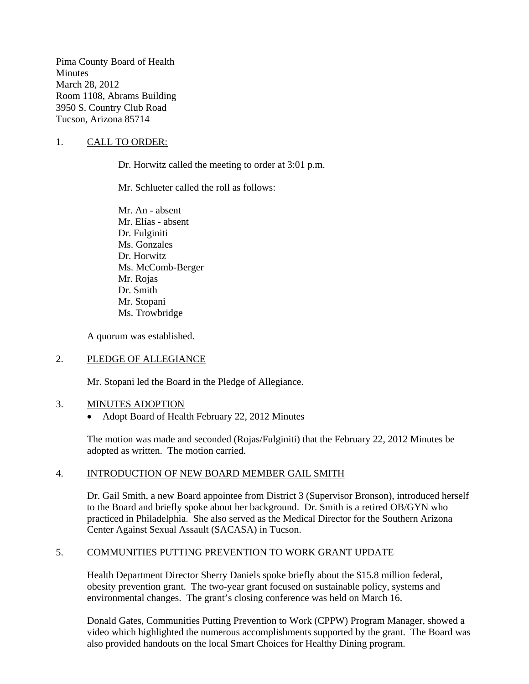Pima County Board of Health **Minutes** March 28, 2012 Room 1108, Abrams Building 3950 S. Country Club Road Tucson, Arizona 85714

#### 1. CALL TO ORDER:

Dr. Horwitz called the meeting to order at 3:01 p.m.

Mr. Schlueter called the roll as follows:

Mr. An - absent Mr. Elías - absent Dr. Fulginiti Ms. Gonzales Dr. Horwitz Ms. McComb-Berger Mr. Rojas Dr. Smith Mr. Stopani Ms. Trowbridge

A quorum was established.

#### 2. PLEDGE OF ALLEGIANCE

Mr. Stopani led the Board in the Pledge of Allegiance.

#### 3. MINUTES ADOPTION

• Adopt Board of Health February 22, 2012 Minutes

The motion was made and seconded (Rojas/Fulginiti) that the February 22, 2012 Minutes be adopted as written. The motion carried.

#### 4. INTRODUCTION OF NEW BOARD MEMBER GAIL SMITH

Dr. Gail Smith, a new Board appointee from District 3 (Supervisor Bronson), introduced herself to the Board and briefly spoke about her background. Dr. Smith is a retired OB/GYN who practiced in Philadelphia. She also served as the Medical Director for the Southern Arizona Center Against Sexual Assault (SACASA) in Tucson.

#### 5. COMMUNITIES PUTTING PREVENTION TO WORK GRANT UPDATE

Health Department Director Sherry Daniels spoke briefly about the \$15.8 million federal, obesity prevention grant. The two-year grant focused on sustainable policy, systems and environmental changes. The grant's closing conference was held on March 16.

Donald Gates, Communities Putting Prevention to Work (CPPW) Program Manager, showed a video which highlighted the numerous accomplishments supported by the grant. The Board was also provided handouts on the local Smart Choices for Healthy Dining program.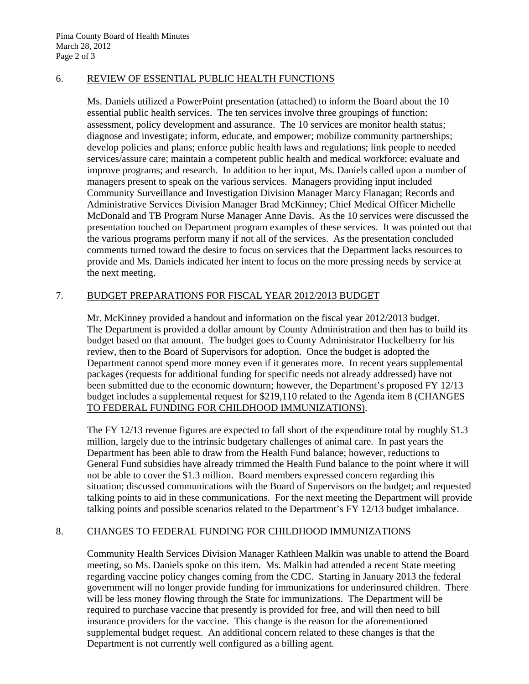#### 6. REVIEW OF ESSENTIAL PUBLIC HEALTH FUNCTIONS

Ms. Daniels utilized a PowerPoint presentation (attached) to inform the Board about the 10 essential public health services. The ten services involve three groupings of function: assessment, policy development and assurance. The 10 services are monitor health status; diagnose and investigate; inform, educate, and empower; mobilize community partnerships; develop policies and plans; enforce public health laws and regulations; link people to needed services/assure care; maintain a competent public health and medical workforce; evaluate and improve programs; and research. In addition to her input, Ms. Daniels called upon a number of managers present to speak on the various services. Managers providing input included Community Surveillance and Investigation Division Manager Marcy Flanagan; Records and Administrative Services Division Manager Brad McKinney; Chief Medical Officer Michelle McDonald and TB Program Nurse Manager Anne Davis. As the 10 services were discussed the presentation touched on Department program examples of these services. It was pointed out that the various programs perform many if not all of the services. As the presentation concluded comments turned toward the desire to focus on services that the Department lacks resources to provide and Ms. Daniels indicated her intent to focus on the more pressing needs by service at the next meeting.

## 7. BUDGET PREPARATIONS FOR FISCAL YEAR 2012/2013 BUDGET

Mr. McKinney provided a handout and information on the fiscal year 2012/2013 budget. The Department is provided a dollar amount by County Administration and then has to build its budget based on that amount. The budget goes to County Administrator Huckelberry for his review, then to the Board of Supervisors for adoption. Once the budget is adopted the Department cannot spend more money even if it generates more. In recent years supplemental packages (requests for additional funding for specific needs not already addressed) have not been submitted due to the economic downturn; however, the Department's proposed FY 12/13 budget includes a supplemental request for \$219,110 related to the Agenda item 8 (CHANGES TO FEDERAL FUNDING FOR CHILDHOOD IMMUNIZATIONS).

The FY 12/13 revenue figures are expected to fall short of the expenditure total by roughly \$1.3 million, largely due to the intrinsic budgetary challenges of animal care. In past years the Department has been able to draw from the Health Fund balance; however, reductions to General Fund subsidies have already trimmed the Health Fund balance to the point where it will not be able to cover the \$1.3 million. Board members expressed concern regarding this situation; discussed communications with the Board of Supervisors on the budget; and requested talking points to aid in these communications. For the next meeting the Department will provide talking points and possible scenarios related to the Department's FY 12/13 budget imbalance.

## 8. CHANGES TO FEDERAL FUNDING FOR CHILDHOOD IMMUNIZATIONS

Community Health Services Division Manager Kathleen Malkin was unable to attend the Board meeting, so Ms. Daniels spoke on this item. Ms. Malkin had attended a recent State meeting regarding vaccine policy changes coming from the CDC. Starting in January 2013 the federal government will no longer provide funding for immunizations for underinsured children. There will be less money flowing through the State for immunizations. The Department will be required to purchase vaccine that presently is provided for free, and will then need to bill insurance providers for the vaccine. This change is the reason for the aforementioned supplemental budget request. An additional concern related to these changes is that the Department is not currently well configured as a billing agent.